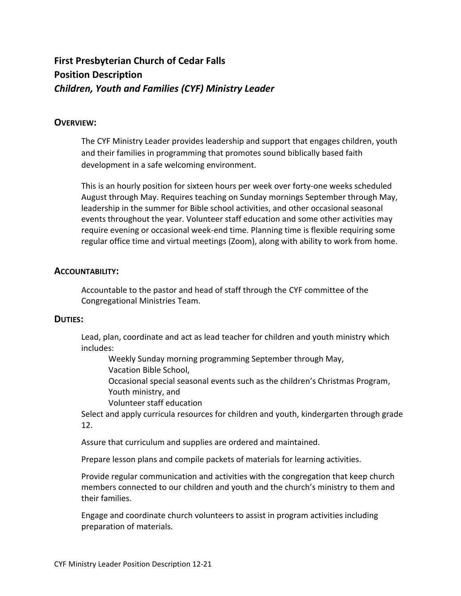# **First Presbyterian Church of Cedar Falls Position Description** *Children, Youth and Families (CYF) Ministry Leader*

# **OVERVIEW:**

The CYF Ministry Leader provides leadership and support that engages children, youth and their families in programming that promotes sound biblically based faith development in a safe welcoming environment.

This is an hourly position for sixteen hours per week over forty-one weeks scheduled August through May. Requires teaching on Sunday mornings September through May, leadership in the summer for Bible school activities, and other occasional seasonal events throughout the year. Volunteer staff education and some other activities may require evening or occasional week-end time. Planning time is flexible requiring some regular office time and virtual meetings (Zoom), along with ability to work from home.

# **ACCOUNTABILITY:**

Accountable to the pastor and head of staff through the CYF committee of the Congregational Ministries Team.

## **DUTIES:**

Lead, plan, coordinate and act as lead teacher for children and youth ministry which includes:

Weekly Sunday morning programming September through May,

Vacation Bible School,

Occasional special seasonal events such as the children's Christmas Program, Youth ministry, and

Volunteer staff education

Select and apply curricula resources for children and youth, kindergarten through grade 12.

Assure that curriculum and supplies are ordered and maintained.

Prepare lesson plans and compile packets of materials for learning activities.

Provide regular communication and activities with the congregation that keep church members connected to our children and youth and the church's ministry to them and their families.

Engage and coordinate church volunteers to assist in program activities including preparation of materials.